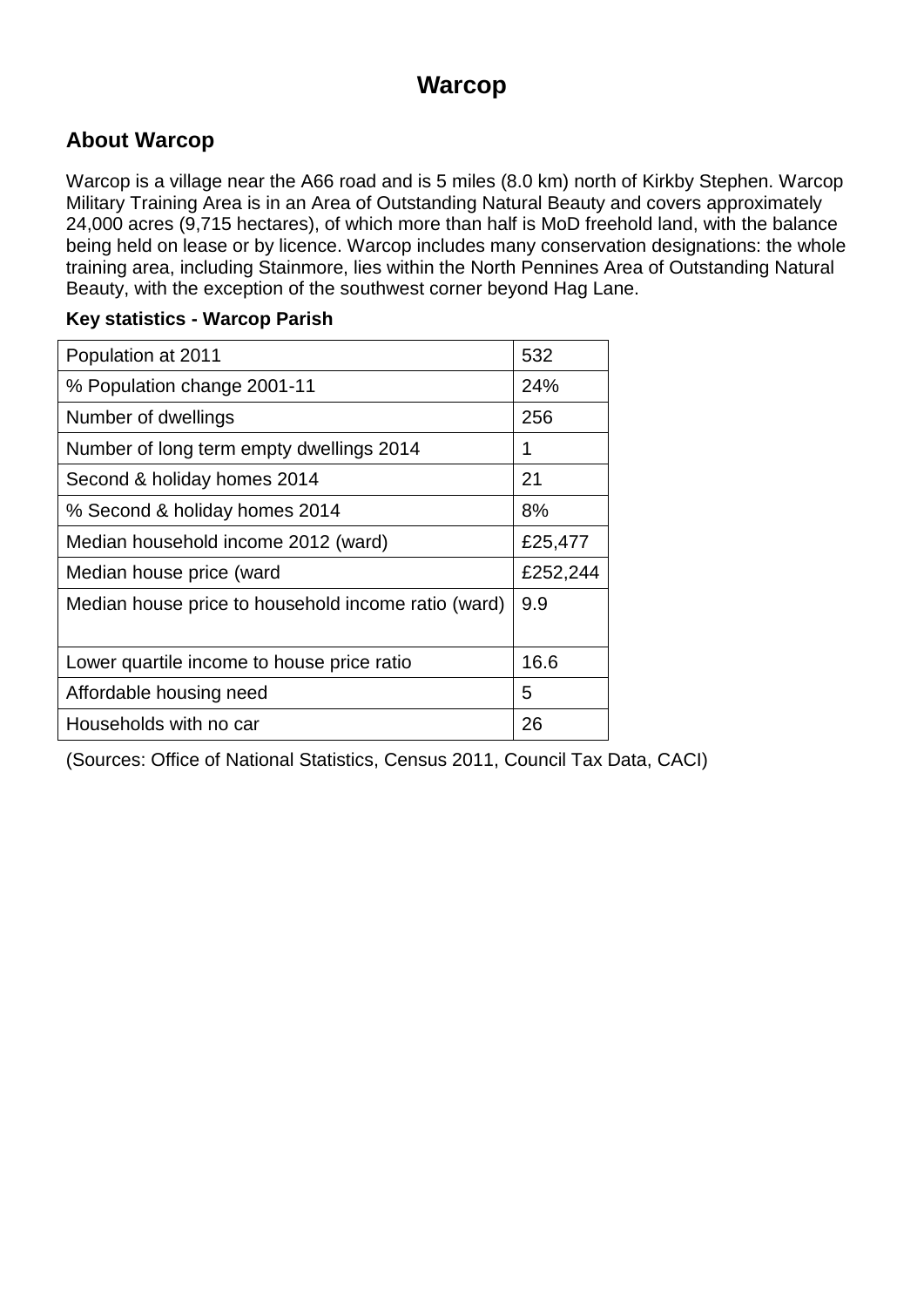### **Warcop**

### **About Warcop**

Warcop is a village near the A66 road and is 5 miles (8.0 km) north of Kirkby Stephen. Warcop Military Training Area is in an Area of Outstanding Natural Beauty and covers approximately 24,000 acres (9,715 hectares), of which more than half is MoD freehold land, with the balance being held on lease or by licence. Warcop includes many conservation designations: the whole training area, including Stainmore, lies within the North Pennines Area of Outstanding Natural Beauty, with the exception of the southwest corner beyond Hag Lane.

#### **Key statistics - Warcop Parish**

| Population at 2011                                  | 532      |
|-----------------------------------------------------|----------|
| % Population change 2001-11                         | 24%      |
| Number of dwellings                                 | 256      |
| Number of long term empty dwellings 2014            | 1        |
| Second & holiday homes 2014                         | 21       |
| % Second & holiday homes 2014                       | 8%       |
| Median household income 2012 (ward)                 | £25,477  |
| Median house price (ward                            | £252,244 |
| Median house price to household income ratio (ward) | 9.9      |
| Lower quartile income to house price ratio          | 16.6     |
| Affordable housing need                             | 5        |
| Households with no car                              | 26       |

(Sources: Office of National Statistics, Census 2011, Council Tax Data, CACI)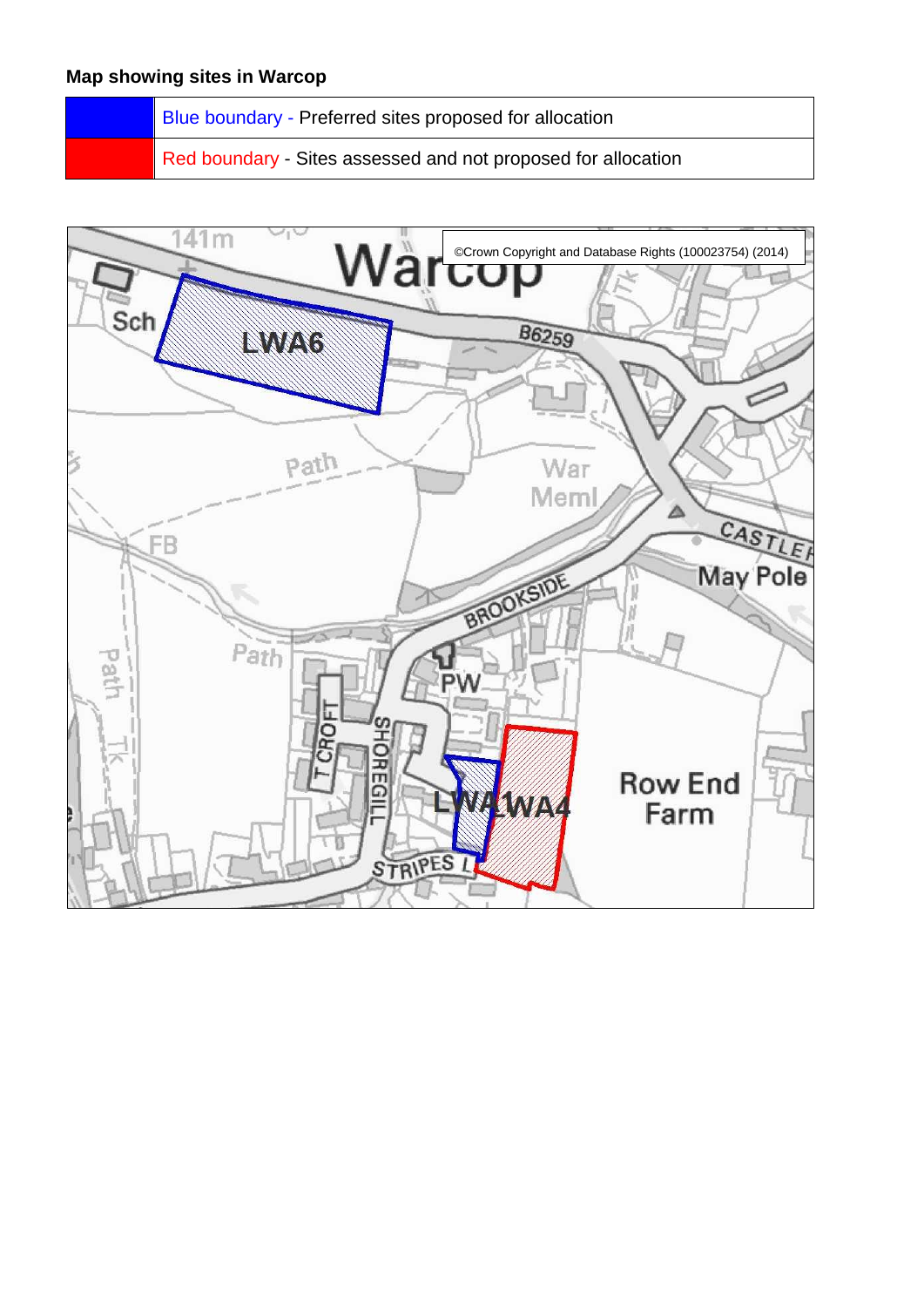Blue boundary - Preferred sites proposed for allocation

Red boundary - Sites assessed and not proposed for allocation

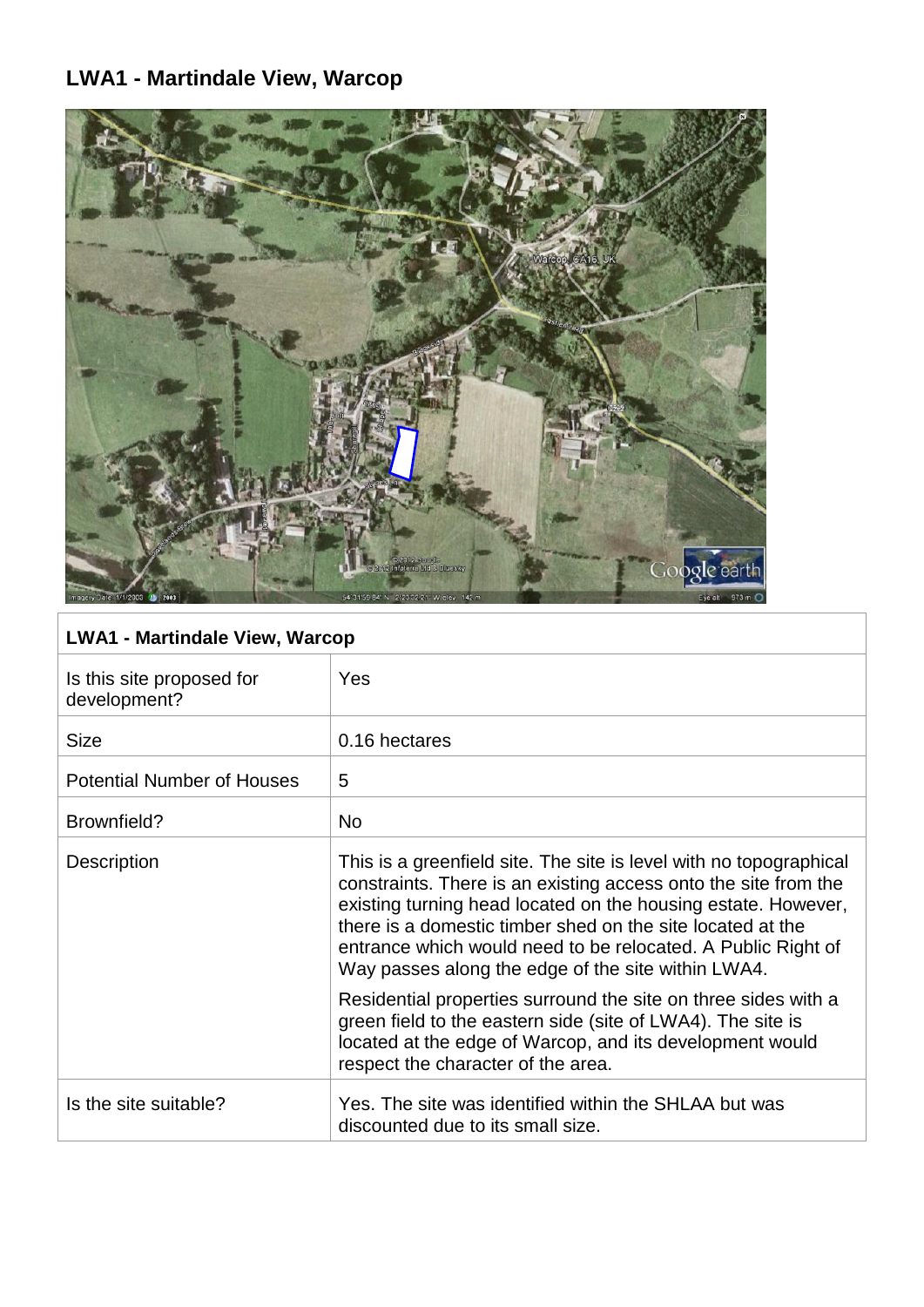# **LWA1 - Martindale View, Warcop**



### **LWA1 - Martindale View, Warcop**

| Is this site proposed for<br>development? | <b>Yes</b>                                                                                                                                                                                                                                                                                                                                                                                 |
|-------------------------------------------|--------------------------------------------------------------------------------------------------------------------------------------------------------------------------------------------------------------------------------------------------------------------------------------------------------------------------------------------------------------------------------------------|
| <b>Size</b>                               | 0.16 hectares                                                                                                                                                                                                                                                                                                                                                                              |
| <b>Potential Number of Houses</b>         | 5                                                                                                                                                                                                                                                                                                                                                                                          |
| Brownfield?                               | <b>No</b>                                                                                                                                                                                                                                                                                                                                                                                  |
| <b>Description</b>                        | This is a greenfield site. The site is level with no topographical<br>constraints. There is an existing access onto the site from the<br>existing turning head located on the housing estate. However,<br>there is a domestic timber shed on the site located at the<br>entrance which would need to be relocated. A Public Right of<br>Way passes along the edge of the site within LWA4. |
|                                           | Residential properties surround the site on three sides with a<br>green field to the eastern side (site of LWA4). The site is<br>located at the edge of Warcop, and its development would<br>respect the character of the area.                                                                                                                                                            |
| Is the site suitable?                     | Yes. The site was identified within the SHLAA but was<br>discounted due to its small size.                                                                                                                                                                                                                                                                                                 |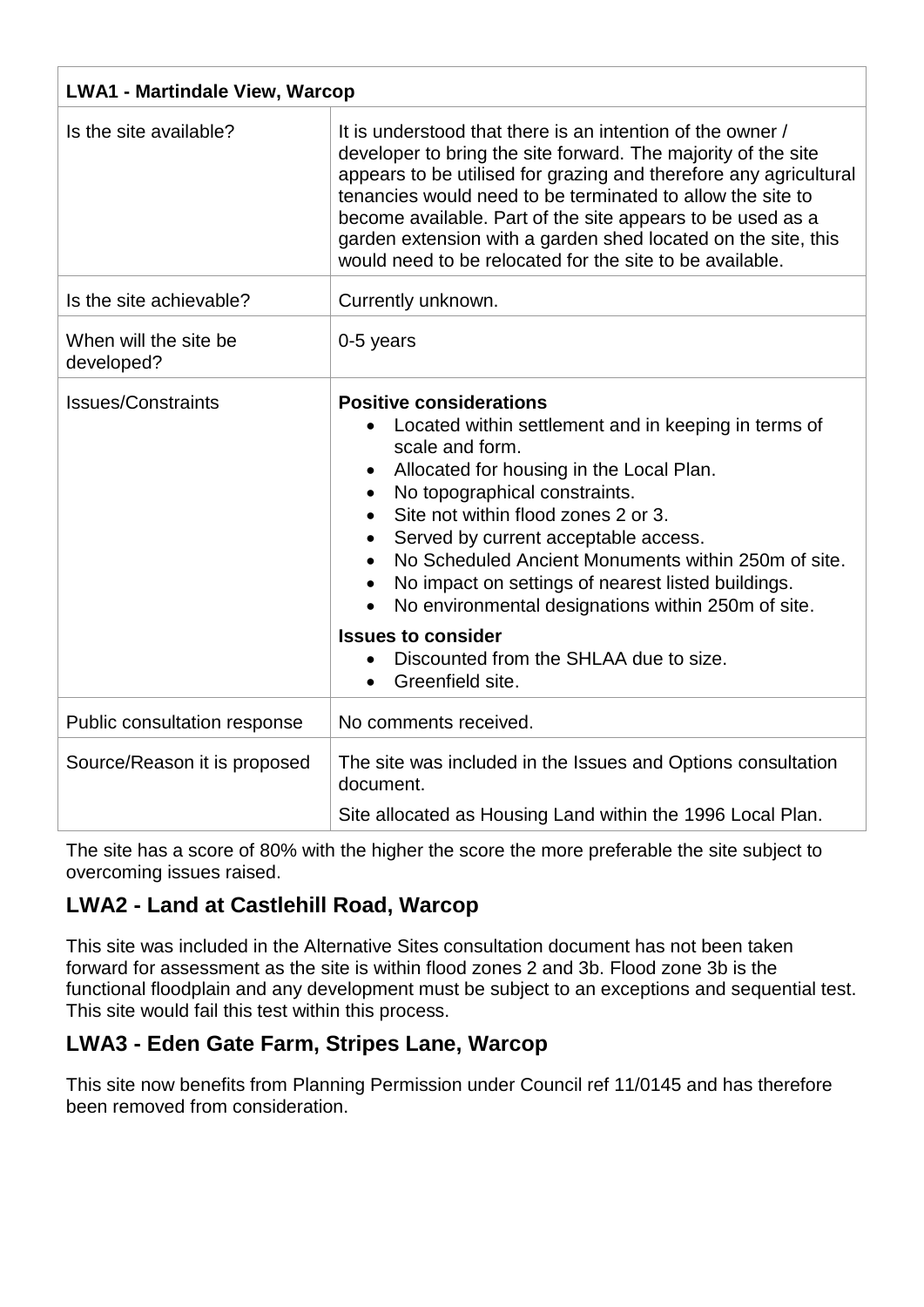| <b>LWA1 - Martindale View, Warcop</b> |                                                                                                                                                                                                                                                                                                                                                                                                                                                                                                                                                  |
|---------------------------------------|--------------------------------------------------------------------------------------------------------------------------------------------------------------------------------------------------------------------------------------------------------------------------------------------------------------------------------------------------------------------------------------------------------------------------------------------------------------------------------------------------------------------------------------------------|
| Is the site available?                | It is understood that there is an intention of the owner /<br>developer to bring the site forward. The majority of the site<br>appears to be utilised for grazing and therefore any agricultural<br>tenancies would need to be terminated to allow the site to<br>become available. Part of the site appears to be used as a<br>garden extension with a garden shed located on the site, this<br>would need to be relocated for the site to be available.                                                                                        |
| Is the site achievable?               | Currently unknown.                                                                                                                                                                                                                                                                                                                                                                                                                                                                                                                               |
| When will the site be<br>developed?   | 0-5 years                                                                                                                                                                                                                                                                                                                                                                                                                                                                                                                                        |
| <b>Issues/Constraints</b>             | <b>Positive considerations</b><br>Located within settlement and in keeping in terms of<br>scale and form.<br>Allocated for housing in the Local Plan.<br>No topographical constraints.<br>Site not within flood zones 2 or 3.<br>Served by current acceptable access.<br>No Scheduled Ancient Monuments within 250m of site.<br>No impact on settings of nearest listed buildings.<br>No environmental designations within 250m of site.<br>$\bullet$<br><b>Issues to consider</b><br>Discounted from the SHLAA due to size.<br>Greenfield site. |
| Public consultation response          | No comments received.                                                                                                                                                                                                                                                                                                                                                                                                                                                                                                                            |
| Source/Reason it is proposed          | The site was included in the Issues and Options consultation<br>document.<br>Site allocated as Housing Land within the 1996 Local Plan.                                                                                                                                                                                                                                                                                                                                                                                                          |

The site has a score of 80% with the higher the score the more preferable the site subject to overcoming issues raised.

### **LWA2 - Land at Castlehill Road, Warcop**

This site was included in the Alternative Sites consultation document has not been taken forward for assessment as the site is within flood zones 2 and 3b. Flood zone 3b is the functional floodplain and any development must be subject to an exceptions and sequential test. This site would fail this test within this process.

### **LWA3 - Eden Gate Farm, Stripes Lane, Warcop**

This site now benefits from Planning Permission under Council ref 11/0145 and has therefore been removed from consideration.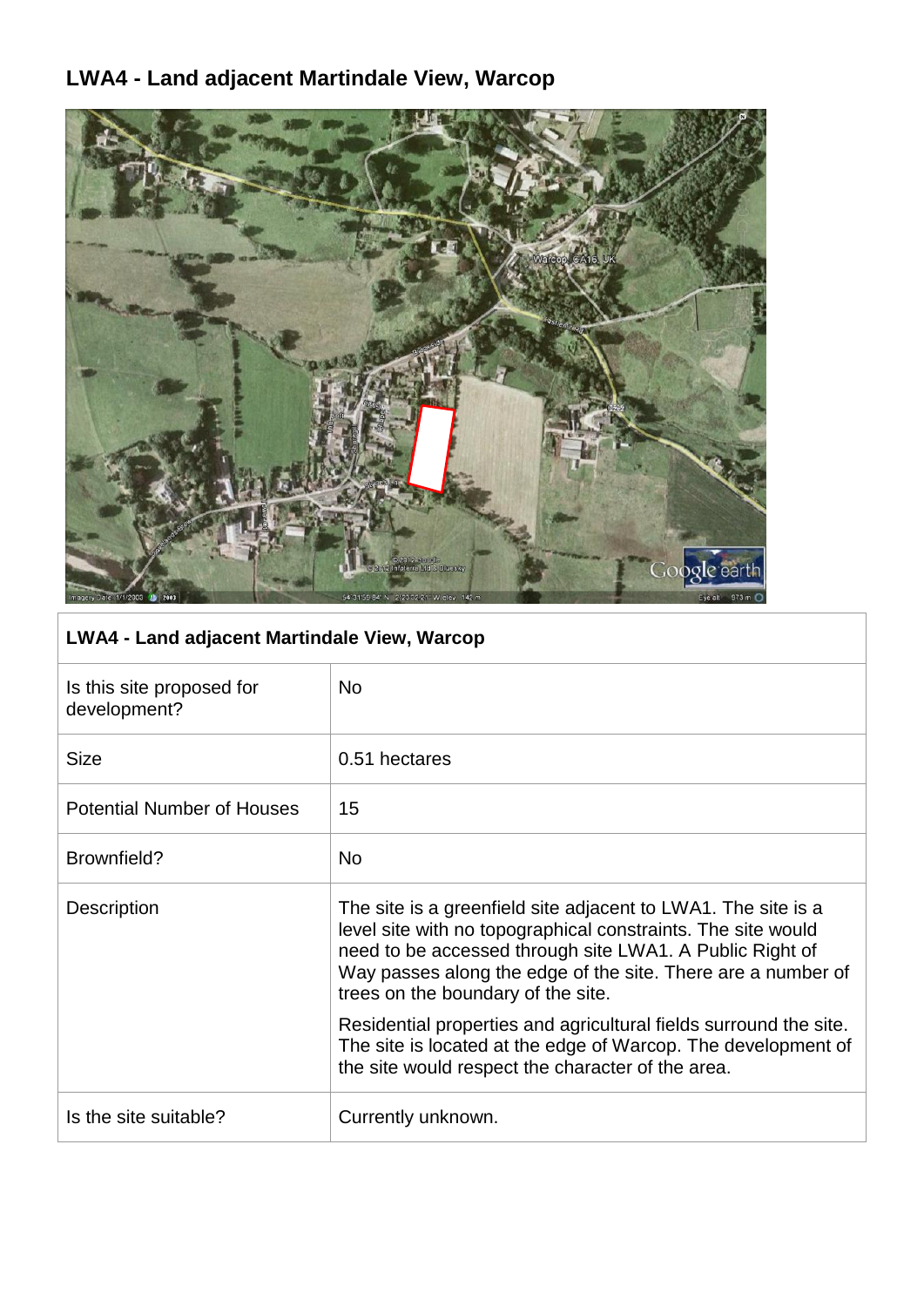### **LWA4 - Land adjacent Martindale View, Warcop**



### **LWA4 - Land adjacent Martindale View, Warcop**

| Is this site proposed for<br>development? | No.                                                                                                                                                                                                                                                                                             |
|-------------------------------------------|-------------------------------------------------------------------------------------------------------------------------------------------------------------------------------------------------------------------------------------------------------------------------------------------------|
| <b>Size</b>                               | 0.51 hectares                                                                                                                                                                                                                                                                                   |
| <b>Potential Number of Houses</b>         | 15                                                                                                                                                                                                                                                                                              |
| Brownfield?                               | <b>No</b>                                                                                                                                                                                                                                                                                       |
| Description                               | The site is a greenfield site adjacent to LWA1. The site is a<br>level site with no topographical constraints. The site would<br>need to be accessed through site LWA1. A Public Right of<br>Way passes along the edge of the site. There are a number of<br>trees on the boundary of the site. |
|                                           | Residential properties and agricultural fields surround the site.<br>The site is located at the edge of Warcop. The development of<br>the site would respect the character of the area.                                                                                                         |
| Is the site suitable?                     | Currently unknown.                                                                                                                                                                                                                                                                              |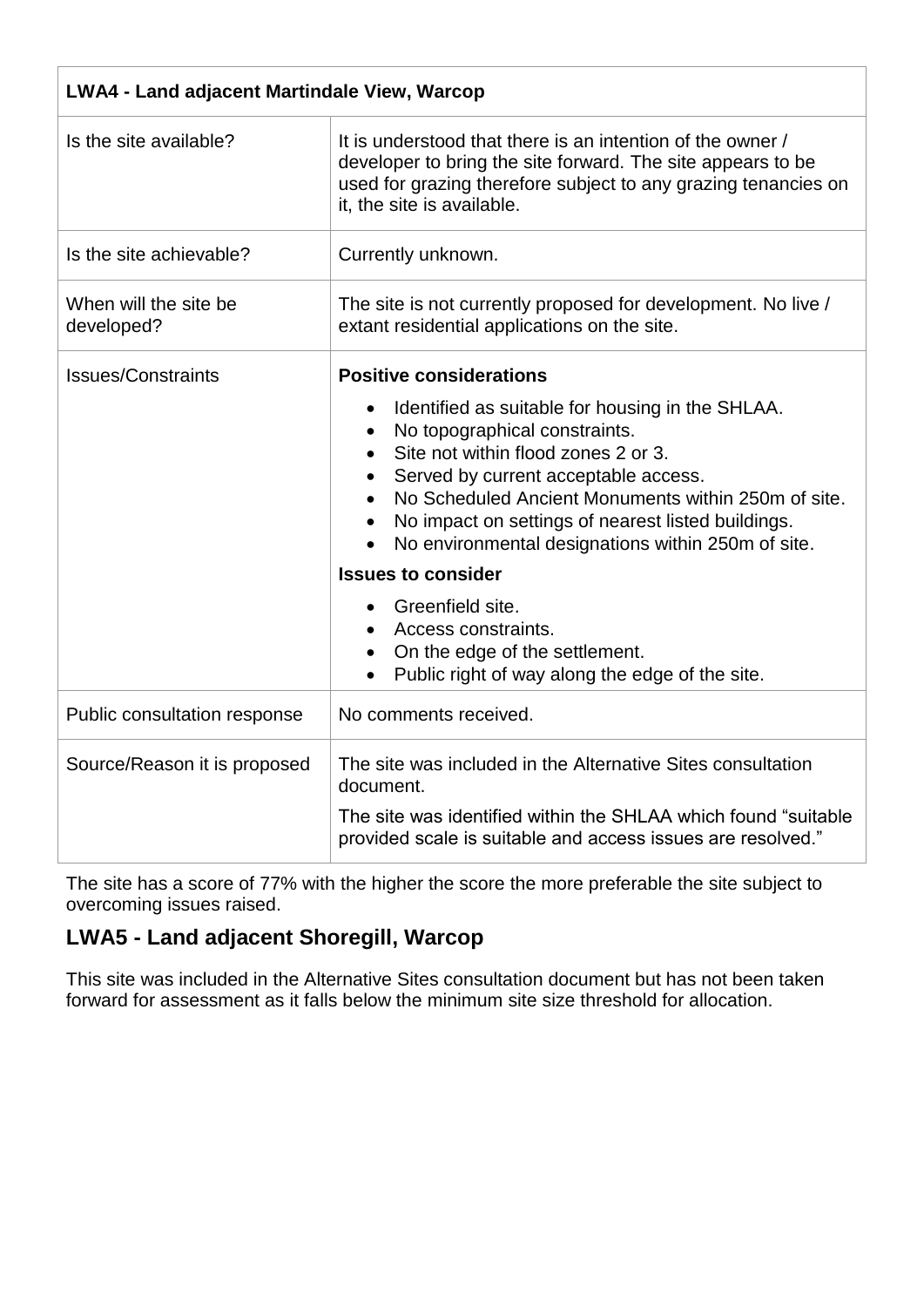| <b>LWA4 - Land adjacent Martindale View, Warcop</b> |                                                                                                                                                                                                                                                                                                                                                                                                                                                                                                                                                 |
|-----------------------------------------------------|-------------------------------------------------------------------------------------------------------------------------------------------------------------------------------------------------------------------------------------------------------------------------------------------------------------------------------------------------------------------------------------------------------------------------------------------------------------------------------------------------------------------------------------------------|
| Is the site available?                              | It is understood that there is an intention of the owner /<br>developer to bring the site forward. The site appears to be<br>used for grazing therefore subject to any grazing tenancies on<br>it, the site is available.                                                                                                                                                                                                                                                                                                                       |
| Is the site achievable?                             | Currently unknown.                                                                                                                                                                                                                                                                                                                                                                                                                                                                                                                              |
| When will the site be<br>developed?                 | The site is not currently proposed for development. No live /<br>extant residential applications on the site.                                                                                                                                                                                                                                                                                                                                                                                                                                   |
| <b>Issues/Constraints</b>                           | <b>Positive considerations</b><br>Identified as suitable for housing in the SHLAA.<br>No topographical constraints.<br>$\bullet$<br>Site not within flood zones 2 or 3.<br>Served by current acceptable access.<br>No Scheduled Ancient Monuments within 250m of site.<br>No impact on settings of nearest listed buildings.<br>No environmental designations within 250m of site.<br><b>Issues to consider</b><br>Greenfield site.<br>Access constraints.<br>On the edge of the settlement.<br>Public right of way along the edge of the site. |
| Public consultation response                        | No comments received.                                                                                                                                                                                                                                                                                                                                                                                                                                                                                                                           |
| Source/Reason it is proposed                        | The site was included in the Alternative Sites consultation<br>document.<br>The site was identified within the SHLAA which found "suitable"<br>provided scale is suitable and access issues are resolved."                                                                                                                                                                                                                                                                                                                                      |

The site has a score of 77% with the higher the score the more preferable the site subject to overcoming issues raised.

### **LWA5 - Land adjacent Shoregill, Warcop**

This site was included in the Alternative Sites consultation document but has not been taken forward for assessment as it falls below the minimum site size threshold for allocation.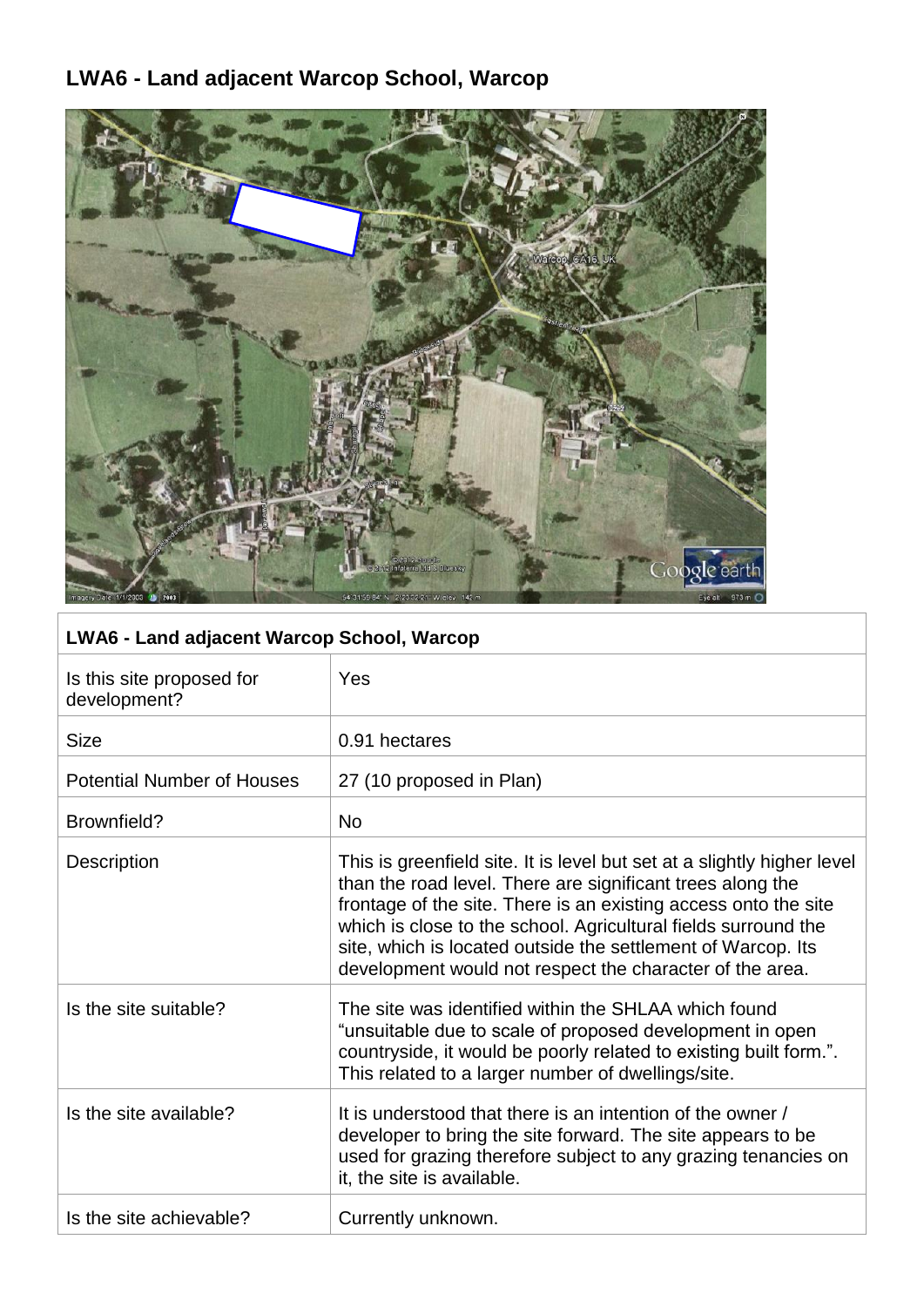## **LWA6 - Land adjacent Warcop School, Warcop**



| <b>LWA6 - Land adjacent Warcop School, Warcop</b> |                                                                                                                                                                                                                                                                                                                                                                                                        |
|---------------------------------------------------|--------------------------------------------------------------------------------------------------------------------------------------------------------------------------------------------------------------------------------------------------------------------------------------------------------------------------------------------------------------------------------------------------------|
| Is this site proposed for<br>development?         | Yes                                                                                                                                                                                                                                                                                                                                                                                                    |
| <b>Size</b>                                       | 0.91 hectares                                                                                                                                                                                                                                                                                                                                                                                          |
| <b>Potential Number of Houses</b>                 | 27 (10 proposed in Plan)                                                                                                                                                                                                                                                                                                                                                                               |
| Brownfield?                                       | <b>No</b>                                                                                                                                                                                                                                                                                                                                                                                              |
| Description                                       | This is greenfield site. It is level but set at a slightly higher level<br>than the road level. There are significant trees along the<br>frontage of the site. There is an existing access onto the site<br>which is close to the school. Agricultural fields surround the<br>site, which is located outside the settlement of Warcop. Its<br>development would not respect the character of the area. |
| Is the site suitable?                             | The site was identified within the SHLAA which found<br>"unsuitable due to scale of proposed development in open<br>countryside, it would be poorly related to existing built form.".<br>This related to a larger number of dwellings/site.                                                                                                                                                            |
| Is the site available?                            | It is understood that there is an intention of the owner /<br>developer to bring the site forward. The site appears to be<br>used for grazing therefore subject to any grazing tenancies on<br>it, the site is available.                                                                                                                                                                              |
| Is the site achievable?                           | Currently unknown.                                                                                                                                                                                                                                                                                                                                                                                     |